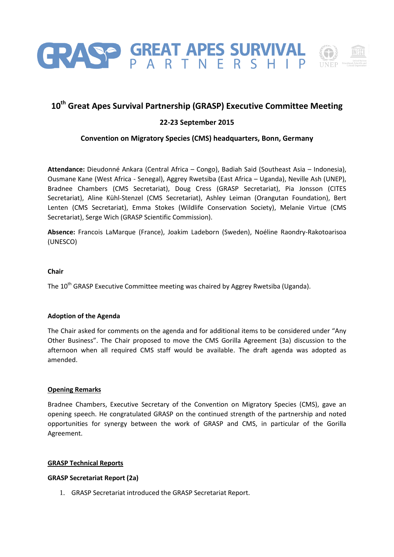

# **10th Great Apes Survival Partnership (GRASP) Executive Committee Meeting**

# **22-23 September 2015**

# **Convention on Migratory Species (CMS) headquarters, Bonn, Germany**

**Attendance:** Dieudonné Ankara (Central Africa – Congo), Badiah Said (Southeast Asia – Indonesia), Ousmane Kane (West Africa - Senegal), Aggrey Rwetsiba (East Africa – Uganda), Neville Ash (UNEP), Bradnee Chambers (CMS Secretariat), Doug Cress (GRASP Secretariat), Pia Jonsson (CITES Secretariat), Aline Kühl-Stenzel (CMS Secretariat), Ashley Leiman (Orangutan Foundation), Bert Lenten (CMS Secretariat), Emma Stokes (Wildlife Conservation Society), Melanie Virtue (CMS Secretariat), Serge Wich (GRASP Scientific Commission).

**Absence:** Francois LaMarque (France), Joakim Ladeborn (Sweden), Noéline Raondry-Rakotoarisoa (UNESCO)

## **Chair**

The 10<sup>th</sup> GRASP Executive Committee meeting was chaired by Aggrey Rwetsiba (Uganda).

#### **Adoption of the Agenda**

The Chair asked for comments on the agenda and for additional items to be considered under "Any Other Business". The Chair proposed to move the CMS Gorilla Agreement (3a) discussion to the afternoon when all required CMS staff would be available. The draft agenda was adopted as amended.

#### **Opening Remarks**

Bradnee Chambers, Executive Secretary of the Convention on Migratory Species (CMS), gave an opening speech. He congratulated GRASP on the continued strength of the partnership and noted opportunities for synergy between the work of GRASP and CMS, in particular of the Gorilla Agreement.

#### **GRASP Technical Reports**

## **GRASP Secretariat Report (2a)**

1. GRASP Secretariat introduced the GRASP Secretariat Report.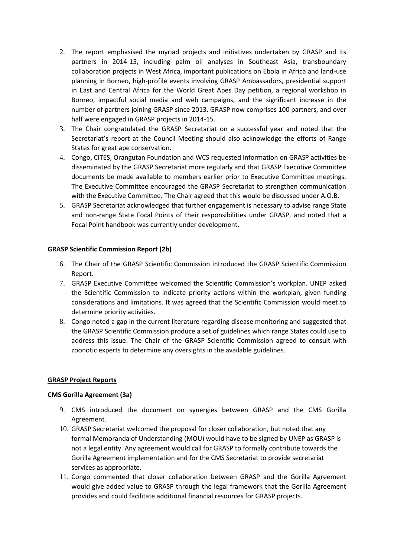- 2. The report emphasised the myriad projects and initiatives undertaken by GRASP and its partners in 2014-15, including palm oil analyses in Southeast Asia, transboundary collaboration projects in West Africa, important publications on Ebola in Africa and land-use planning in Borneo, high-profile events involving GRASP Ambassadors, presidential support in East and Central Africa for the World Great Apes Day petition, a regional workshop in Borneo, impactful social media and web campaigns, and the significant increase in the number of partners joining GRASP since 2013. GRASP now comprises 100 partners, and over half were engaged in GRASP projects in 2014-15.
- 3. The Chair congratulated the GRASP Secretariat on a successful year and noted that the Secretariat's report at the Council Meeting should also acknowledge the efforts of Range States for great ape conservation.
- 4. Congo, CITES, Orangutan Foundation and WCS requested information on GRASP activities be disseminated by the GRASP Secretariat more regularly and that GRASP Executive Committee documents be made available to members earlier prior to Executive Committee meetings. The Executive Committee encouraged the GRASP Secretariat to strengthen communication with the Executive Committee. The Chair agreed that this would be discussed under A.O.B.
- 5. GRASP Secretariat acknowledged that further engagement is necessary to advise range State and non-range State Focal Points of their responsibilities under GRASP, and noted that a Focal Point handbook was currently under development.

# **GRASP Scientific Commission Report (2b)**

- 6. The Chair of the GRASP Scientific Commission introduced the GRASP Scientific Commission Report.
- 7. GRASP Executive Committee welcomed the Scientific Commission's workplan. UNEP asked the Scientific Commission to indicate priority actions within the workplan, given funding considerations and limitations. It was agreed that the Scientific Commission would meet to determine priority activities.
- 8. Congo noted a gap in the current literature regarding disease monitoring and suggested that the GRASP Scientific Commission produce a set of guidelines which range States could use to address this issue. The Chair of the GRASP Scientific Commission agreed to consult with zoonotic experts to determine any oversights in the available guidelines.

## **GRASP Project Reports**

## **CMS Gorilla Agreement (3a)**

- 9. CMS introduced the document on synergies between GRASP and the CMS Gorilla Agreement.
- 10. GRASP Secretariat welcomed the proposal for closer collaboration, but noted that any formal Memoranda of Understanding (MOU) would have to be signed by UNEP as GRASP is not a legal entity. Any agreement would call for GRASP to formally contribute towards the Gorilla Agreement implementation and for the CMS Secretariat to provide secretariat services as appropriate.
- 11. Congo commented that closer collaboration between GRASP and the Gorilla Agreement would give added value to GRASP through the legal framework that the Gorilla Agreement provides and could facilitate additional financial resources for GRASP projects.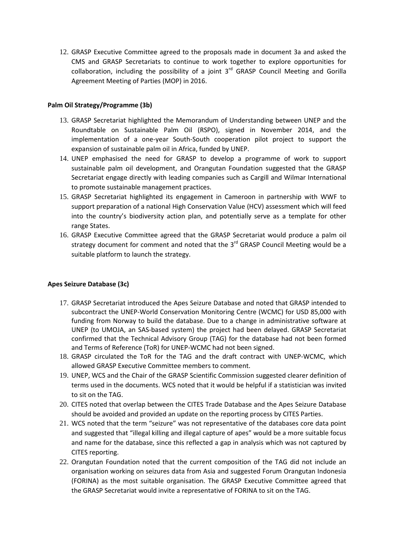12. GRASP Executive Committee agreed to the proposals made in document 3a and asked the CMS and GRASP Secretariats to continue to work together to explore opportunities for collaboration, including the possibility of a joint  $3<sup>rd</sup>$  GRASP Council Meeting and Gorilla Agreement Meeting of Parties (MOP) in 2016.

# **Palm Oil Strategy/Programme (3b)**

- 13. GRASP Secretariat highlighted the Memorandum of Understanding between UNEP and the Roundtable on Sustainable Palm Oil (RSPO), signed in November 2014, and the implementation of a one-year South-South cooperation pilot project to support the expansion of sustainable palm oil in Africa, funded by UNEP.
- 14. UNEP emphasised the need for GRASP to develop a programme of work to support sustainable palm oil development, and Orangutan Foundation suggested that the GRASP Secretariat engage directly with leading companies such as Cargill and Wilmar International to promote sustainable management practices.
- 15. GRASP Secretariat highlighted its engagement in Cameroon in partnership with WWF to support preparation of a national High Conservation Value (HCV) assessment which will feed into the country's biodiversity action plan, and potentially serve as a template for other range States.
- 16. GRASP Executive Committee agreed that the GRASP Secretariat would produce a palm oil strategy document for comment and noted that the  $3^{rd}$  GRASP Council Meeting would be a suitable platform to launch the strategy.

# **Apes Seizure Database (3c)**

- 17. GRASP Secretariat introduced the Apes Seizure Database and noted that GRASP intended to subcontract the UNEP-World Conservation Monitoring Centre (WCMC) for USD 85,000 with funding from Norway to build the database. Due to a change in administrative software at UNEP (to UMOJA, an SAS-based system) the project had been delayed. GRASP Secretariat confirmed that the Technical Advisory Group (TAG) for the database had not been formed and Terms of Reference (ToR) for UNEP-WCMC had not been signed.
- 18. GRASP circulated the ToR for the TAG and the draft contract with UNEP-WCMC, which allowed GRASP Executive Committee members to comment.
- 19. UNEP, WCS and the Chair of the GRASP Scientific Commission suggested clearer definition of terms used in the documents. WCS noted that it would be helpful if a statistician was invited to sit on the TAG.
- 20. CITES noted that overlap between the CITES Trade Database and the Apes Seizure Database should be avoided and provided an update on the reporting process by CITES Parties.
- 21. WCS noted that the term "seizure" was not representative of the databases core data point and suggested that "illegal killing and illegal capture of apes" would be a more suitable focus and name for the database, since this reflected a gap in analysis which was not captured by CITES reporting.
- 22. Orangutan Foundation noted that the current composition of the TAG did not include an organisation working on seizures data from Asia and suggested Forum Orangutan Indonesia (FORINA) as the most suitable organisation. The GRASP Executive Committee agreed that the GRASP Secretariat would invite a representative of FORINA to sit on the TAG.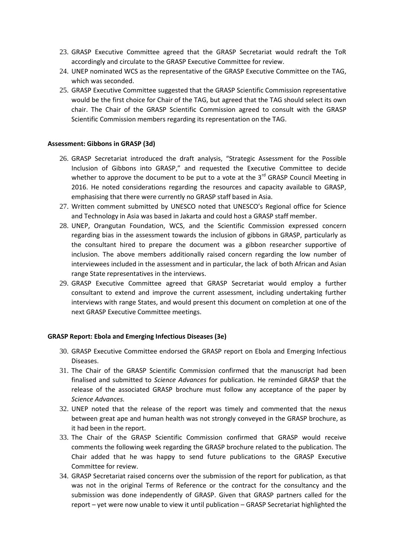- 23. GRASP Executive Committee agreed that the GRASP Secretariat would redraft the ToR accordingly and circulate to the GRASP Executive Committee for review.
- 24. UNEP nominated WCS as the representative of the GRASP Executive Committee on the TAG, which was seconded.
- 25. GRASP Executive Committee suggested that the GRASP Scientific Commission representative would be the first choice for Chair of the TAG, but agreed that the TAG should select its own chair. The Chair of the GRASP Scientific Commission agreed to consult with the GRASP Scientific Commission members regarding its representation on the TAG.

#### **Assessment: Gibbons in GRASP (3d)**

- 26. GRASP Secretariat introduced the draft analysis, "Strategic Assessment for the Possible Inclusion of Gibbons into GRASP," and requested the Executive Committee to decide whether to approve the document to be put to a vote at the  $3^{rd}$  GRASP Council Meeting in 2016. He noted considerations regarding the resources and capacity available to GRASP, emphasising that there were currently no GRASP staff based in Asia.
- 27. Written comment submitted by UNESCO noted that UNESCO's Regional office for Science and Technology in Asia was based in Jakarta and could host a GRASP staff member.
- 28. UNEP, Orangutan Foundation, WCS, and the Scientific Commission expressed concern regarding bias in the assessment towards the inclusion of gibbons in GRASP, particularly as the consultant hired to prepare the document was a gibbon researcher supportive of inclusion. The above members additionally raised concern regarding the low number of interviewees included in the assessment and in particular, the lack of both African and Asian range State representatives in the interviews.
- 29. GRASP Executive Committee agreed that GRASP Secretariat would employ a further consultant to extend and improve the current assessment, including undertaking further interviews with range States, and would present this document on completion at one of the next GRASP Executive Committee meetings.

#### **GRASP Report: Ebola and Emerging Infectious Diseases (3e)**

- 30. GRASP Executive Committee endorsed the GRASP report on Ebola and Emerging Infectious Diseases.
- 31. The Chair of the GRASP Scientific Commission confirmed that the manuscript had been finalised and submitted to *Science Advances* for publication. He reminded GRASP that the release of the associated GRASP brochure must follow any acceptance of the paper by *Science Advances.*
- 32. UNEP noted that the release of the report was timely and commented that the nexus between great ape and human health was not strongly conveyed in the GRASP brochure, as it had been in the report.
- 33. The Chair of the GRASP Scientific Commission confirmed that GRASP would receive comments the following week regarding the GRASP brochure related to the publication. The Chair added that he was happy to send future publications to the GRASP Executive Committee for review.
- 34. GRASP Secretariat raised concerns over the submission of the report for publication, as that was not in the original Terms of Reference or the contract for the consultancy and the submission was done independently of GRASP. Given that GRASP partners called for the report – yet were now unable to view it until publication – GRASP Secretariat highlighted the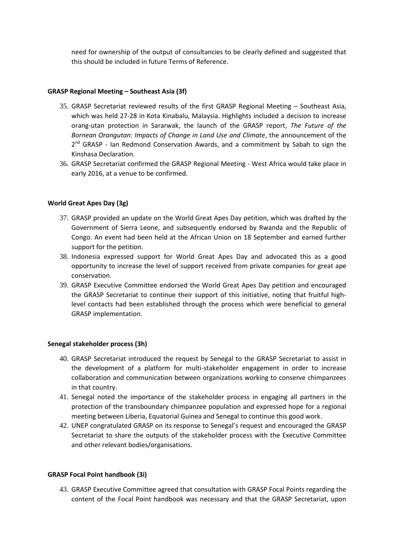need for ownership of the output of consultancies to be clearly defined and suggested that this should be included in future Terms of Reference.

# **GRASP Regional Meeting – Southeast Asia (3f)**

- 35. GRASP Secretariat reviewed results of the first GRASP Regional Meeting Southeast Asia, which was held 27-28 in Kota Kinabalu, Malaysia. Highlights included a decision to increase orang-utan protection in Sararwak, the launch of the GRASP report, *The Future of the Bornean Orangutan: Impacts of Change in Land Use and Climate*, the announcement of the 2<sup>nd</sup> GRASP - Ian Redmond Conservation Awards, and a commitment by Sabah to sign the Kinshasa Declaration.
- 36. GRASP Secretariat confirmed the GRASP Regional Meeting West Africa would take place in early 2016, at a venue to be confirmed.

# **World Great Apes Day (3g)**

- 37. GRASP provided an update on the World Great Apes Day petition, which was drafted by the Government of Sierra Leone, and subsequently endorsed by Rwanda and the Republic of Congo. An event had been held at the African Union on 18 September and earned further support for the petition.
- 38. Indonesia expressed support for World Great Apes Day and advocated this as a good opportunity to increase the level of support received from private companies for great ape conservation.
- 39. GRASP Executive Committee endorsed the World Great Apes Day petition and encouraged the GRASP Secretariat to continue their support of this initiative, noting that fruitful highlevel contacts had been established through the process which were beneficial to general GRASP implementation.

## **Senegal stakeholder process (3h)**

- 40. GRASP Secretariat introduced the request by Senegal to the GRASP Secretariat to assist in the development of a platform for multi-stakeholder engagement in order to increase collaboration and communication between organizations working to conserve chimpanzees in that country.
- 41. Senegal noted the importance of the stakeholder process in engaging all partners in the protection of the transboundary chimpanzee population and expressed hope for a regional meeting between Liberia, Equatorial Guinea and Senegal to continue this good work.
- 42. UNEP congratulated GRASP on its response to Senegal's request and encouraged the GRASP Secretariat to share the outputs of the stakeholder process with the Executive Committee and other relevant bodies/organisations.

## **GRASP Focal Point handbook (3i)**

43. GRASP Executive Committee agreed that consultation with GRASP Focal Points regarding the content of the Focal Point handbook was necessary and that the GRASP Secretariat, upon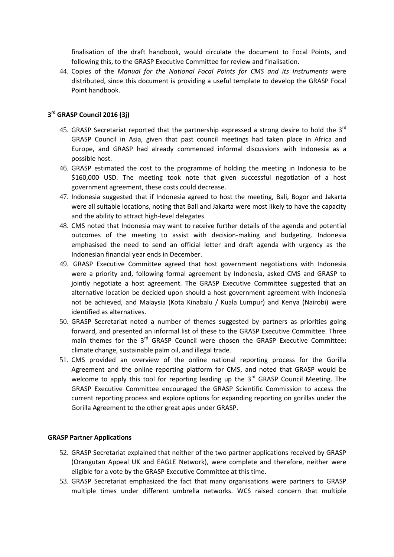finalisation of the draft handbook, would circulate the document to Focal Points, and following this, to the GRASP Executive Committee for review and finalisation.

44. Copies of the *Manual for the National Focal Points for CMS and its Instruments* were distributed, since this document is providing a useful template to develop the GRASP Focal Point handbook.

# **3 rd GRASP Council 2016 (3j)**

- 45. GRASP Secretariat reported that the partnership expressed a strong desire to hold the 3<sup>rd</sup> GRASP Council in Asia, given that past council meetings had taken place in Africa and Europe, and GRASP had already commenced informal discussions with Indonesia as a possible host.
- 46. GRASP estimated the cost to the programme of holding the meeting in Indonesia to be \$160,000 USD. The meeting took note that given successful negotiation of a host government agreement, these costs could decrease.
- 47. Indonesia suggested that if Indonesia agreed to host the meeting, Bali, Bogor and Jakarta were all suitable locations, noting that Bali and Jakarta were most likely to have the capacity and the ability to attract high-level delegates.
- 48. CMS noted that Indonesia may want to receive further details of the agenda and potential outcomes of the meeting to assist with decision-making and budgeting. Indonesia emphasised the need to send an official letter and draft agenda with urgency as the Indonesian financial year ends in December.
- 49. GRASP Executive Committee agreed that host government negotiations with Indonesia were a priority and, following formal agreement by Indonesia, asked CMS and GRASP to jointly negotiate a host agreement. The GRASP Executive Committee suggested that an alternative location be decided upon should a host government agreement with Indonesia not be achieved, and Malaysia (Kota Kinabalu / Kuala Lumpur) and Kenya (Nairobi) were identified as alternatives.
- 50. GRASP Secretariat noted a number of themes suggested by partners as priorities going forward, and presented an informal list of these to the GRASP Executive Committee. Three main themes for the 3<sup>rd</sup> GRASP Council were chosen the GRASP Executive Committee: climate change, sustainable palm oil, and illegal trade.
- 51. CMS provided an overview of the online national reporting process for the Gorilla Agreement and the online reporting platform for CMS, and noted that GRASP would be welcome to apply this tool for reporting leading up the 3<sup>rd</sup> GRASP Council Meeting. The GRASP Executive Committee encouraged the GRASP Scientific Commission to access the current reporting process and explore options for expanding reporting on gorillas under the Gorilla Agreement to the other great apes under GRASP.

## **GRASP Partner Applications**

- 52. GRASP Secretariat explained that neither of the two partner applications received by GRASP (Orangutan Appeal UK and EAGLE Network), were complete and therefore, neither were eligible for a vote by the GRASP Executive Committee at this time.
- 53. GRASP Secretariat emphasized the fact that many organisations were partners to GRASP multiple times under different umbrella networks. WCS raised concern that multiple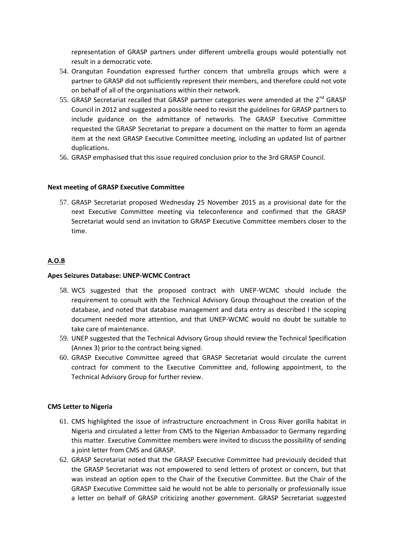representation of GRASP partners under different umbrella groups would potentially not result in a democratic vote.

- 54. Orangutan Foundation expressed further concern that umbrella groups which were a partner to GRASP did not sufficiently represent their members, and therefore could not vote on behalf of all of the organisations within their network.
- 55. GRASP Secretariat recalled that GRASP partner categories were amended at the  $2^{nd}$  GRASP Council in 2012 and suggested a possible need to revisit the guidelines for GRASP partners to include guidance on the admittance of networks. The GRASP Executive Committee requested the GRASP Secretariat to prepare a document on the matter to form an agenda item at the next GRASP Executive Committee meeting, including an updated list of partner duplications.
- 56. GRASP emphasised that this issue required conclusion prior to the 3rd GRASP Council.

## **Next meeting of GRASP Executive Committee**

57. GRASP Secretariat proposed Wednesday 25 November 2015 as a provisional date for the next Executive Committee meeting via teleconference and confirmed that the GRASP Secretariat would send an invitation to GRASP Executive Committee members closer to the time.

# **A.O.B**

# **Apes Seizures Database: UNEP-WCMC Contract**

- 58. WCS suggested that the proposed contract with UNEP-WCMC should include the requirement to consult with the Technical Advisory Group throughout the creation of the database, and noted that database management and data entry as described I the scoping document needed more attention, and that UNEP-WCMC would no doubt be suitable to take care of maintenance.
- 59. UNEP suggested that the Technical Advisory Group should review the Technical Specification (Annex 3) prior to the contract being signed.
- 60. GRASP Executive Committee agreed that GRASP Secretariat would circulate the current contract for comment to the Executive Committee and, following appointment, to the Technical Advisory Group for further review.

## **CMS Letter to Nigeria**

- 61. CMS highlighted the issue of infrastructure encroachment in Cross River gorilla habitat in Nigeria and circulated a letter from CMS to the Nigerian Ambassador to Germany regarding this matter. Executive Committee members were invited to discuss the possibility of sending a joint letter from CMS and GRASP.
- 62. GRASP Secretariat noted that the GRASP Executive Committee had previously decided that the GRASP Secretariat was not empowered to send letters of protest or concern, but that was instead an option open to the Chair of the Executive Committee. But the Chair of the GRASP Executive Committee said he would not be able to personally or professionally issue a letter on behalf of GRASP criticizing another government. GRASP Secretariat suggested